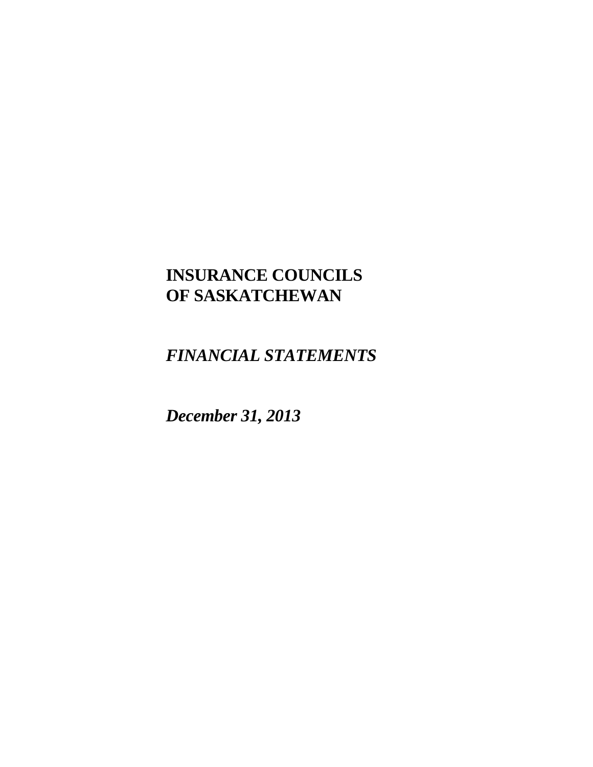*FINANCIAL STATEMENTS* 

*December 31, 2013*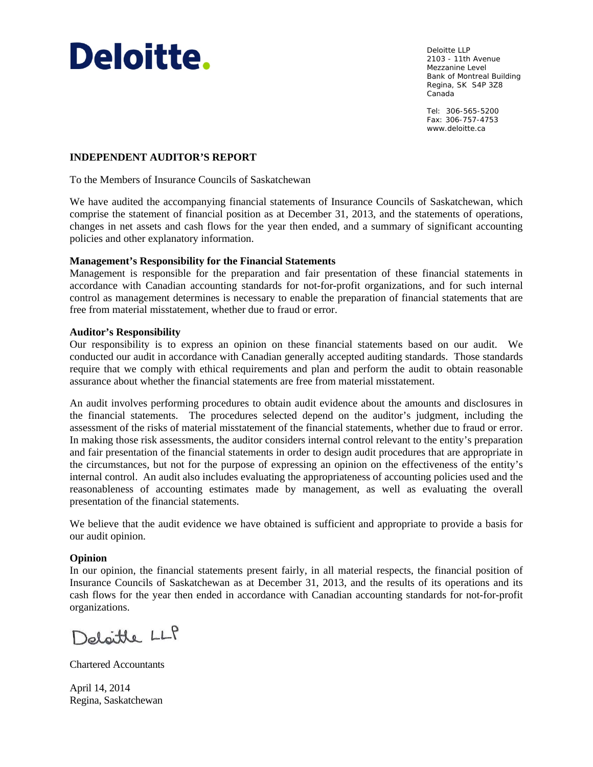# Deloitte.

Deloitte LLP 2103 - 11th Avenue Mezzanine Level Bank of Montreal Building Regina, SK S4P 3Z8 Canada

Tel: 306-565-5200 Fax: 306-757-4753 www.deloitte.ca

#### **INDEPENDENT AUDITOR'S REPORT**

To the Members of Insurance Councils of Saskatchewan

We have audited the accompanying financial statements of Insurance Councils of Saskatchewan, which comprise the statement of financial position as at December 31, 2013, and the statements of operations, changes in net assets and cash flows for the year then ended, and a summary of significant accounting policies and other explanatory information.

#### **Management's Responsibility for the Financial Statements**

Management is responsible for the preparation and fair presentation of these financial statements in accordance with Canadian accounting standards for not-for-profit organizations, and for such internal control as management determines is necessary to enable the preparation of financial statements that are free from material misstatement, whether due to fraud or error.

#### **Auditor's Responsibility**

Our responsibility is to express an opinion on these financial statements based on our audit. We conducted our audit in accordance with Canadian generally accepted auditing standards. Those standards require that we comply with ethical requirements and plan and perform the audit to obtain reasonable assurance about whether the financial statements are free from material misstatement.

An audit involves performing procedures to obtain audit evidence about the amounts and disclosures in the financial statements. The procedures selected depend on the auditor's judgment, including the assessment of the risks of material misstatement of the financial statements, whether due to fraud or error. In making those risk assessments, the auditor considers internal control relevant to the entity's preparation and fair presentation of the financial statements in order to design audit procedures that are appropriate in the circumstances, but not for the purpose of expressing an opinion on the effectiveness of the entity's internal control. An audit also includes evaluating the appropriateness of accounting policies used and the reasonableness of accounting estimates made by management, as well as evaluating the overall presentation of the financial statements.

We believe that the audit evidence we have obtained is sufficient and appropriate to provide a basis for our audit opinion.

#### **Opinion**

In our opinion, the financial statements present fairly, in all material respects, the financial position of Insurance Councils of Saskatchewan as at December 31, 2013, and the results of its operations and its cash flows for the year then ended in accordance with Canadian accounting standards for not-for-profit organizations.

Delaitte LLP

Chartered Accountants

April 14, 2014 Regina, Saskatchewan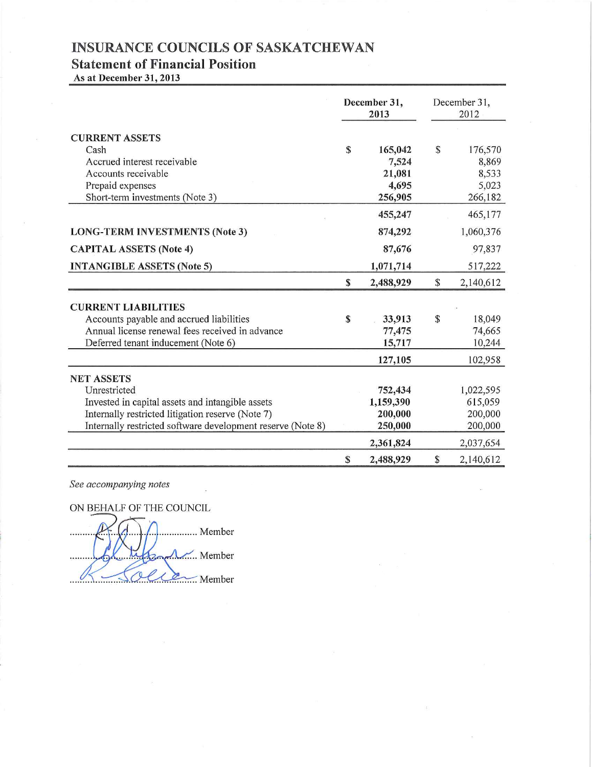# **Statement of Financial Position**

As at December 31, 2013

|                                                                                                                                                                                                           | December 31,<br>2013 |                                                | December 31,<br>2012 |                                               |  |
|-----------------------------------------------------------------------------------------------------------------------------------------------------------------------------------------------------------|----------------------|------------------------------------------------|----------------------|-----------------------------------------------|--|
| <b>CURRENT ASSETS</b><br>Cash<br>Accrued interest receivable<br>Accounts receivable<br>Prepaid expenses<br>Short-term investments (Note 3)                                                                |                      | 165,042<br>7,524<br>21,081<br>4,695<br>256,905 | \$                   | 176,570<br>8,869<br>8,533<br>5,023<br>266,182 |  |
| <b>LONG-TERM INVESTMENTS (Note 3)</b>                                                                                                                                                                     |                      | 455,247<br>874,292                             |                      | 465,177<br>1,060,376                          |  |
| <b>CAPITAL ASSETS (Note 4)</b><br><b>INTANGIBLE ASSETS (Note 5)</b>                                                                                                                                       | $\mathbb{S}$         | 87,676<br>1,071,714                            | \$                   | 97,837<br>517,222                             |  |
| <b>CURRENT LIABILITIES</b><br>Accounts payable and accrued liabilities<br>Annual license renewal fees received in advance                                                                                 | $\mathbf S$          | 2,488,929<br>33,913<br>77,475                  | \$                   | 2,140,612<br>18,049<br>74,665                 |  |
| Deferred tenant inducement (Note 6)                                                                                                                                                                       |                      | 15,717<br>127,105                              |                      | 10,244<br>102,958                             |  |
| <b>NET ASSETS</b><br>Unrestricted<br>Invested in capital assets and intangible assets<br>Internally restricted litigation reserve (Note 7)<br>Internally restricted software development reserve (Note 8) |                      | 752,434<br>1,159,390<br>200,000<br>250,000     |                      | 1,022,595<br>615,059<br>200,000<br>200,000    |  |
|                                                                                                                                                                                                           | $\mathbb{S}$         | 2,361,824<br>2,488,929                         | \$                   | 2,037,654<br>2,140,612                        |  |

See accompanying notes

ON BEHALF OF THE COUNCIL

 $\Box$ ................ Member À . . . . . . . . . Luff Member . . . . . . . . Rolle Member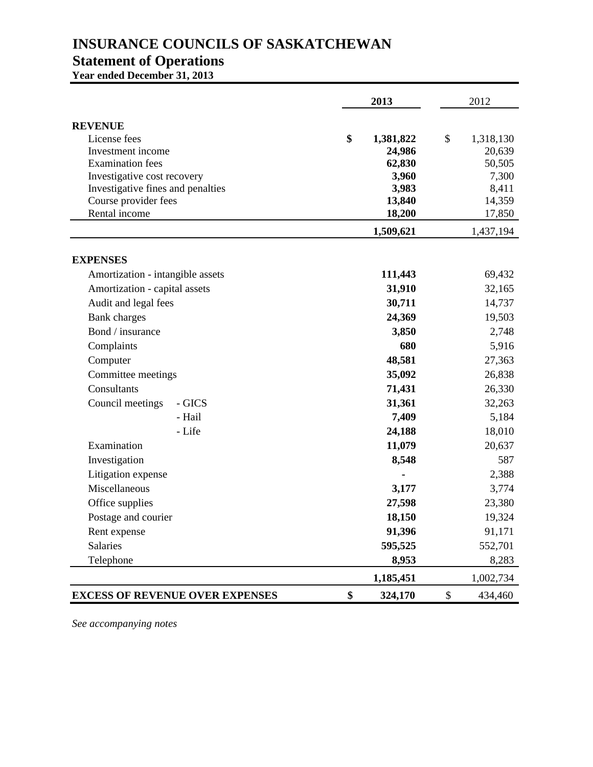# **Statement of Operations**

**Year ended December 31, 2013**

|                                                                                                                                                                                             | 2013                                                                      |    | 2012                                                                |  |
|---------------------------------------------------------------------------------------------------------------------------------------------------------------------------------------------|---------------------------------------------------------------------------|----|---------------------------------------------------------------------|--|
| <b>REVENUE</b><br>License fees<br>Investment income<br><b>Examination</b> fees<br>Investigative cost recovery<br>Investigative fines and penalties<br>Course provider fees<br>Rental income | \$<br>1,381,822<br>24,986<br>62,830<br>3,960<br>3,983<br>13,840<br>18,200 | \$ | 1,318,130<br>20,639<br>50,505<br>7,300<br>8,411<br>14,359<br>17,850 |  |
|                                                                                                                                                                                             | 1,509,621                                                                 |    | 1,437,194                                                           |  |
| <b>EXPENSES</b>                                                                                                                                                                             |                                                                           |    |                                                                     |  |
| Amortization - intangible assets                                                                                                                                                            | 111,443                                                                   |    | 69,432                                                              |  |
| Amortization - capital assets                                                                                                                                                               | 31,910                                                                    |    | 32,165                                                              |  |
| Audit and legal fees                                                                                                                                                                        | 30,711                                                                    |    | 14,737                                                              |  |
| <b>Bank</b> charges                                                                                                                                                                         | 24,369                                                                    |    | 19,503                                                              |  |
| Bond / insurance                                                                                                                                                                            | 3,850                                                                     |    | 2,748                                                               |  |
| Complaints                                                                                                                                                                                  | 680                                                                       |    | 5,916                                                               |  |
| Computer                                                                                                                                                                                    | 48,581                                                                    |    | 27,363                                                              |  |
| Committee meetings                                                                                                                                                                          | 35,092                                                                    |    | 26,838                                                              |  |
| Consultants                                                                                                                                                                                 | 71,431                                                                    |    | 26,330                                                              |  |
| - GICS<br>Council meetings                                                                                                                                                                  | 31,361                                                                    |    | 32,263                                                              |  |
| - Hail                                                                                                                                                                                      | 7,409                                                                     |    | 5,184                                                               |  |
| - Life                                                                                                                                                                                      | 24,188                                                                    |    | 18,010                                                              |  |
| Examination                                                                                                                                                                                 | 11,079                                                                    |    | 20,637                                                              |  |
| Investigation                                                                                                                                                                               | 8,548                                                                     |    | 587                                                                 |  |
| Litigation expense                                                                                                                                                                          |                                                                           |    | 2,388                                                               |  |
| Miscellaneous                                                                                                                                                                               | 3,177                                                                     |    | 3,774                                                               |  |
| Office supplies                                                                                                                                                                             | 27,598                                                                    |    | 23,380                                                              |  |
| Postage and courier                                                                                                                                                                         | 18,150                                                                    |    | 19,324                                                              |  |
| Rent expense                                                                                                                                                                                | 91,396                                                                    |    | 91,171                                                              |  |
| <b>Salaries</b>                                                                                                                                                                             | 595,525                                                                   |    | 552,701                                                             |  |
| Telephone                                                                                                                                                                                   | 8,953                                                                     |    | 8,283                                                               |  |
|                                                                                                                                                                                             | 1,185,451                                                                 |    | 1,002,734                                                           |  |
| <b>EXCESS OF REVENUE OVER EXPENSES</b>                                                                                                                                                      | \$<br>324,170                                                             | \$ | 434,460                                                             |  |

*See accompanying notes*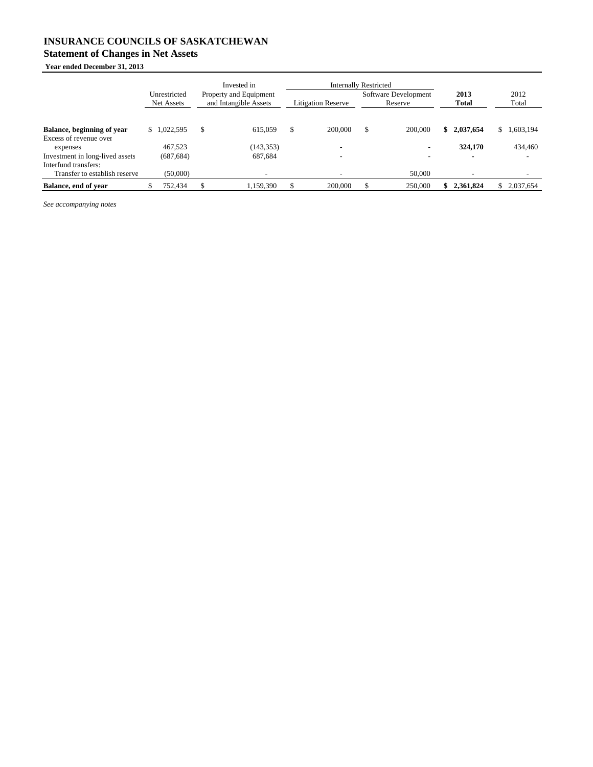## **INSURANCE COUNCILS OF SASKATCHEWAN Statement of Changes in Net Assets**

 **Year ended December 31, 2013**

|                                                                                          |                            |                        | Invested in                                     |            | <b>Internally Restricted</b> |                          |    |                          |                 |    |                          |  |  |  |         |  |                      |  |  |  |                      |  |               |
|------------------------------------------------------------------------------------------|----------------------------|------------------------|-------------------------------------------------|------------|------------------------------|--------------------------|----|--------------------------|-----------------|----|--------------------------|--|--|--|---------|--|----------------------|--|--|--|----------------------|--|---------------|
|                                                                                          | Unrestricted<br>Net Assets |                        | Property and Equipment<br>and Intangible Assets |            |                              |                          |    |                          |                 |    | Litigation Reserve       |  |  |  | Reserve |  | Software Development |  |  |  | 2013<br><b>Total</b> |  | 2012<br>Total |
| Balance, beginning of year                                                               |                            | \$1,022,595            | S                                               | 615.059    |                              | 200,000                  | \$ | 200,000                  | \$<br>2,037,654 | S. | 1,603,194                |  |  |  |         |  |                      |  |  |  |                      |  |               |
| Excess of revenue over<br>expenses                                                       |                            | 467.523                |                                                 | (143, 353) |                              | $\overline{\phantom{a}}$ |    | $\overline{\phantom{0}}$ | 324,170         |    | 434,460                  |  |  |  |         |  |                      |  |  |  |                      |  |               |
| Investment in long-lived assets<br>Interfund transfers:<br>Transfer to establish reserve |                            | (687, 684)<br>(50,000) |                                                 | 687,684    |                              |                          |    | 50,000                   | -               |    | $\overline{\phantom{0}}$ |  |  |  |         |  |                      |  |  |  |                      |  |               |
| Balance, end of year                                                                     |                            | 752,434                |                                                 | 1,159,390  |                              | 200,000                  |    | 250,000                  | \$<br>2,361,824 | S. | 2,037,654                |  |  |  |         |  |                      |  |  |  |                      |  |               |

*See accompanying notes*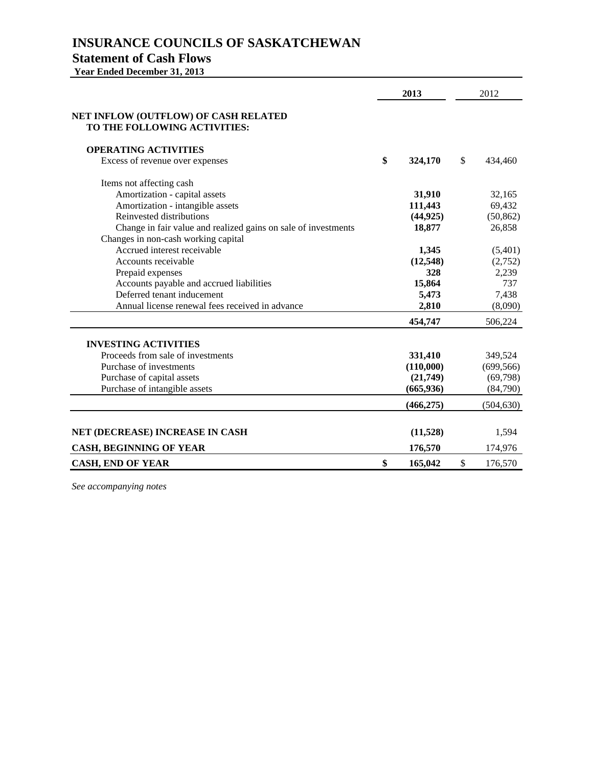# **Statement of Cash Flows**

 **Year Ended December 31, 2013**

|                                                                      |    | 2013       | 2012          |            |  |
|----------------------------------------------------------------------|----|------------|---------------|------------|--|
| NET INFLOW (OUTFLOW) OF CASH RELATED<br>TO THE FOLLOWING ACTIVITIES: |    |            |               |            |  |
| <b>OPERATING ACTIVITIES</b>                                          |    |            |               |            |  |
| Excess of revenue over expenses                                      | \$ | 324,170    | \$            | 434,460    |  |
| Items not affecting cash                                             |    |            |               |            |  |
| Amortization - capital assets                                        |    | 31,910     |               | 32,165     |  |
| Amortization - intangible assets                                     |    | 111,443    |               | 69,432     |  |
| Reinvested distributions                                             |    | (44, 925)  |               | (50, 862)  |  |
| Change in fair value and realized gains on sale of investments       |    | 18,877     |               | 26,858     |  |
| Changes in non-cash working capital                                  |    |            |               |            |  |
| Accrued interest receivable                                          |    | 1,345      |               | (5,401)    |  |
| Accounts receivable                                                  |    | (12, 548)  |               | (2,752)    |  |
| Prepaid expenses                                                     |    | 328        |               | 2,239      |  |
| Accounts payable and accrued liabilities                             |    | 15,864     |               | 737        |  |
| Deferred tenant inducement                                           |    | 5,473      |               | 7,438      |  |
| Annual license renewal fees received in advance                      |    | 2,810      |               | (8,090)    |  |
|                                                                      |    | 454,747    |               | 506,224    |  |
| <b>INVESTING ACTIVITIES</b>                                          |    |            |               |            |  |
| Proceeds from sale of investments                                    |    | 331,410    |               | 349,524    |  |
| Purchase of investments                                              |    | (110,000)  |               | (699, 566) |  |
| Purchase of capital assets                                           |    | (21,749)   |               | (69,798)   |  |
| Purchase of intangible assets                                        |    | (665, 936) |               | (84,790)   |  |
|                                                                      |    | (466, 275) |               | (504, 630) |  |
| NET (DECREASE) INCREASE IN CASH                                      |    | (11,528)   |               | 1,594      |  |
| <b>CASH, BEGINNING OF YEAR</b>                                       |    | 176,570    |               | 174,976    |  |
| <b>CASH, END OF YEAR</b>                                             | \$ | 165,042    | $\mathsf{\$}$ | 176,570    |  |

*See accompanying notes*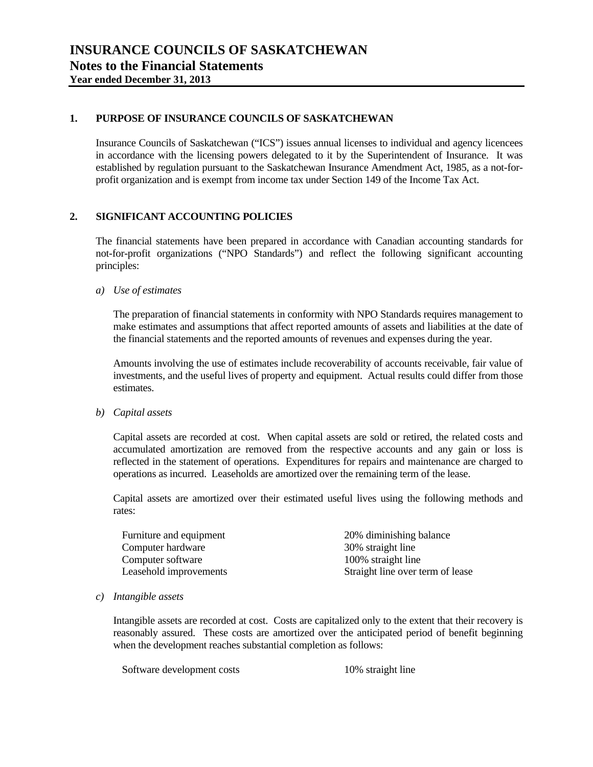#### **1. PURPOSE OF INSURANCE COUNCILS OF SASKATCHEWAN**

Insurance Councils of Saskatchewan ("ICS") issues annual licenses to individual and agency licencees in accordance with the licensing powers delegated to it by the Superintendent of Insurance. It was established by regulation pursuant to the Saskatchewan Insurance Amendment Act, 1985, as a not-forprofit organization and is exempt from income tax under Section 149 of the Income Tax Act.

#### **2. SIGNIFICANT ACCOUNTING POLICIES**

The financial statements have been prepared in accordance with Canadian accounting standards for not-for-profit organizations ("NPO Standards") and reflect the following significant accounting principles:

*a) Use of estimates* 

The preparation of financial statements in conformity with NPO Standards requires management to make estimates and assumptions that affect reported amounts of assets and liabilities at the date of the financial statements and the reported amounts of revenues and expenses during the year.

Amounts involving the use of estimates include recoverability of accounts receivable, fair value of investments, and the useful lives of property and equipment. Actual results could differ from those estimates.

*b) Capital assets* 

Capital assets are recorded at cost. When capital assets are sold or retired, the related costs and accumulated amortization are removed from the respective accounts and any gain or loss is reflected in the statement of operations. Expenditures for repairs and maintenance are charged to operations as incurred. Leaseholds are amortized over the remaining term of the lease.

Capital assets are amortized over their estimated useful lives using the following methods and rates:

| Furniture and equipment | 20% diminishing balance          |
|-------------------------|----------------------------------|
| Computer hardware       | 30% straight line                |
| Computer software       | 100% straight line               |
| Leasehold improvements  | Straight line over term of lease |

*c) Intangible assets* 

Intangible assets are recorded at cost. Costs are capitalized only to the extent that their recovery is reasonably assured. These costs are amortized over the anticipated period of benefit beginning when the development reaches substantial completion as follows:

Software development costs 10% straight line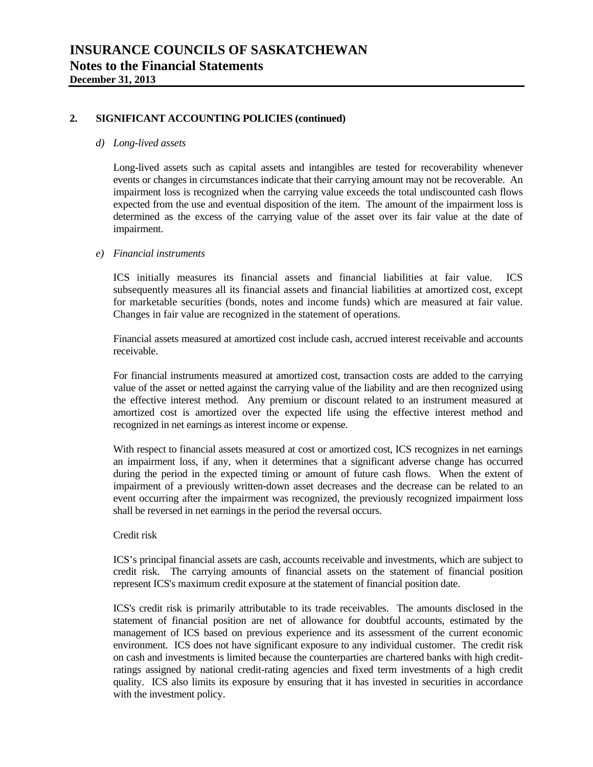#### **2. SIGNIFICANT ACCOUNTING POLICIES (continued)**

#### *d) Long-lived assets*

Long-lived assets such as capital assets and intangibles are tested for recoverability whenever events or changes in circumstances indicate that their carrying amount may not be recoverable. An impairment loss is recognized when the carrying value exceeds the total undiscounted cash flows expected from the use and eventual disposition of the item. The amount of the impairment loss is determined as the excess of the carrying value of the asset over its fair value at the date of impairment.

#### *e) Financial instruments*

ICS initially measures its financial assets and financial liabilities at fair value. ICS subsequently measures all its financial assets and financial liabilities at amortized cost, except for marketable securities (bonds, notes and income funds) which are measured at fair value. Changes in fair value are recognized in the statement of operations.

Financial assets measured at amortized cost include cash, accrued interest receivable and accounts receivable.

For financial instruments measured at amortized cost, transaction costs are added to the carrying value of the asset or netted against the carrying value of the liability and are then recognized using the effective interest method. Any premium or discount related to an instrument measured at amortized cost is amortized over the expected life using the effective interest method and recognized in net earnings as interest income or expense.

With respect to financial assets measured at cost or amortized cost, ICS recognizes in net earnings an impairment loss, if any, when it determines that a significant adverse change has occurred during the period in the expected timing or amount of future cash flows. When the extent of impairment of a previously written-down asset decreases and the decrease can be related to an event occurring after the impairment was recognized, the previously recognized impairment loss shall be reversed in net earnings in the period the reversal occurs.

#### Credit risk

ICS's principal financial assets are cash, accounts receivable and investments, which are subject to credit risk. The carrying amounts of financial assets on the statement of financial position represent ICS's maximum credit exposure at the statement of financial position date.

ICS's credit risk is primarily attributable to its trade receivables. The amounts disclosed in the statement of financial position are net of allowance for doubtful accounts, estimated by the management of ICS based on previous experience and its assessment of the current economic environment. ICS does not have significant exposure to any individual customer. The credit risk on cash and investments is limited because the counterparties are chartered banks with high creditratings assigned by national credit-rating agencies and fixed term investments of a high credit quality. ICS also limits its exposure by ensuring that it has invested in securities in accordance with the investment policy.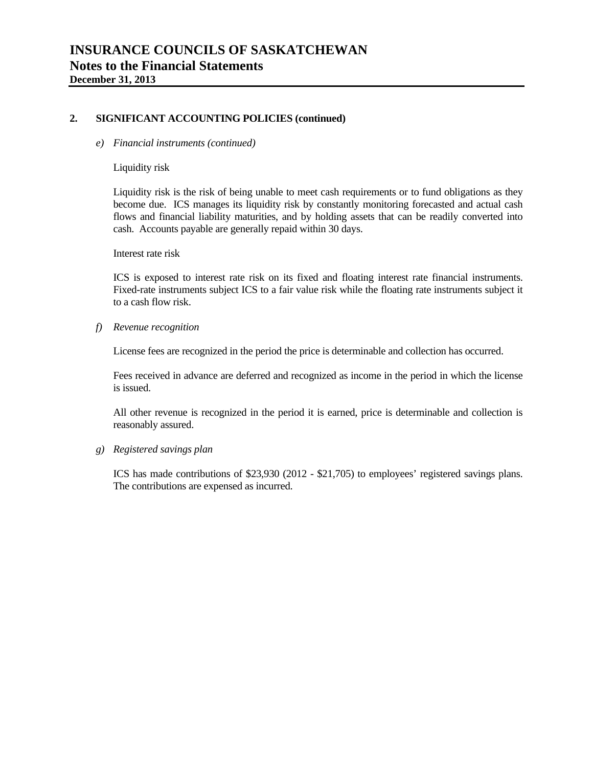#### **2. SIGNIFICANT ACCOUNTING POLICIES (continued)**

*e) Financial instruments (continued)*

#### Liquidity risk

Liquidity risk is the risk of being unable to meet cash requirements or to fund obligations as they become due. ICS manages its liquidity risk by constantly monitoring forecasted and actual cash flows and financial liability maturities, and by holding assets that can be readily converted into cash. Accounts payable are generally repaid within 30 days.

Interest rate risk

ICS is exposed to interest rate risk on its fixed and floating interest rate financial instruments. Fixed-rate instruments subject ICS to a fair value risk while the floating rate instruments subject it to a cash flow risk.

*f) Revenue recognition* 

License fees are recognized in the period the price is determinable and collection has occurred.

Fees received in advance are deferred and recognized as income in the period in which the license is issued.

All other revenue is recognized in the period it is earned, price is determinable and collection is reasonably assured.

#### *g) Registered savings plan*

ICS has made contributions of \$23,930 (2012 - \$21,705) to employees' registered savings plans. The contributions are expensed as incurred.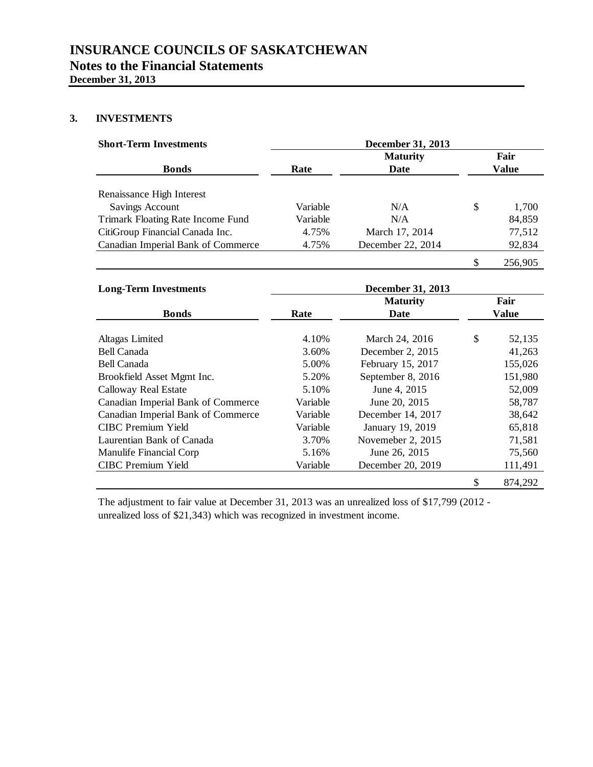#### **3. INVESTMENTS**

| <b>Short-Term Investments</b>      | December 31, 2013 |                   |       |         |  |  |  |
|------------------------------------|-------------------|-------------------|-------|---------|--|--|--|
|                                    |                   | <b>Maturity</b>   | Fair  |         |  |  |  |
| <b>Bonds</b>                       | Rate              | Date              | Value |         |  |  |  |
| Renaissance High Interest          |                   |                   |       |         |  |  |  |
| Savings Account                    | Variable          | N/A               | \$    | 1,700   |  |  |  |
| Trimark Floating Rate Income Fund  | Variable          | N/A               |       | 84,859  |  |  |  |
| CitiGroup Financial Canada Inc.    | 4.75%             | March 17, 2014    |       | 77,512  |  |  |  |
| Canadian Imperial Bank of Commerce | 4.75%             | December 22, 2014 |       | 92,834  |  |  |  |
|                                    |                   |                   | S     | 256,905 |  |  |  |

| <b>Long-Term Investments</b>       | <b>December 31, 2013</b> |                         |    |                      |  |  |  |
|------------------------------------|--------------------------|-------------------------|----|----------------------|--|--|--|
| <b>Bonds</b>                       | Rate                     | <b>Maturity</b><br>Date |    | Fair<br><b>Value</b> |  |  |  |
| Altagas Limited                    | 4.10%                    | March 24, 2016          | \$ | 52,135               |  |  |  |
| Bell Canada                        | 3.60%                    | December 2, 2015        |    | 41,263               |  |  |  |
| Bell Canada                        | 5.00%                    | February 15, 2017       |    | 155,026              |  |  |  |
| Brookfield Asset Mgmt Inc.         | 5.20%                    | September 8, 2016       |    | 151,980              |  |  |  |
| Calloway Real Estate               | 5.10%                    | June 4, 2015            |    | 52,009               |  |  |  |
| Canadian Imperial Bank of Commerce | Variable                 | June 20, 2015           |    | 58,787               |  |  |  |
| Canadian Imperial Bank of Commerce | Variable                 | December 14, 2017       |    | 38,642               |  |  |  |
| CIBC Premium Yield                 | Variable                 | January 19, 2019        |    | 65,818               |  |  |  |
| Laurentian Bank of Canada          | 3.70%                    | Novemeber 2, 2015       |    | 71,581               |  |  |  |
| Manulife Financial Corp            | 5.16%                    | June 26, 2015           |    | 75,560               |  |  |  |
| <b>CIBC</b> Premium Yield          | Variable                 | December 20, 2019       |    | 111,491              |  |  |  |
|                                    |                          |                         | \$ | 874,292              |  |  |  |

The adjustment to fair value at December 31, 2013 was an unrealized loss of \$17,799 (2012 unrealized loss of \$21,343) which was recognized in investment income.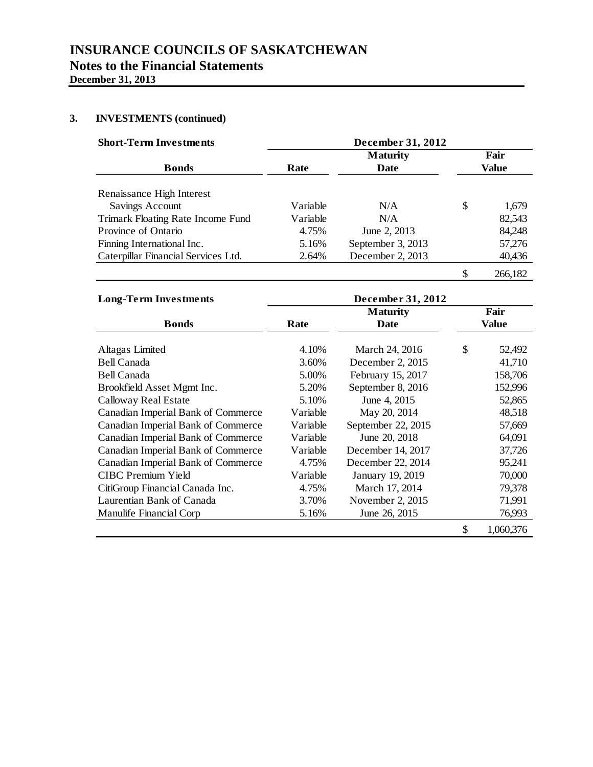## **3. INVESTMENTS (continued)**

| <b>Short-Term Investments</b>       | December 31, 2012 |                   |      |              |  |  |
|-------------------------------------|-------------------|-------------------|------|--------------|--|--|
|                                     |                   | <b>Maturity</b>   | Fair |              |  |  |
| <b>Bonds</b>                        | Rate              | Date              |      | <b>Value</b> |  |  |
| Renaissance High Interest           |                   |                   |      |              |  |  |
| Savings Account                     | Variable          | N/A               | \$.  | 1,679        |  |  |
| Trimark Floating Rate Income Fund   | Variable          | N/A               |      | 82,543       |  |  |
| Province of Ontario                 | 4.75%             | June 2, 2013      |      | 84,248       |  |  |
| Finning International Inc.          | 5.16%             | September 3, 2013 |      | 57,276       |  |  |
| Caterpillar Financial Services Ltd. | 2.64%             | December 2, 2013  |      | 40,436       |  |  |
|                                     |                   |                   |      | 266,182      |  |  |

| <b>Long-Term Investments</b>       | December 31, 2012 |                    |              |           |  |  |
|------------------------------------|-------------------|--------------------|--------------|-----------|--|--|
|                                    | <b>Maturity</b>   |                    |              | Fair      |  |  |
| <b>Bonds</b>                       | Rate              | <b>Date</b>        | <b>Value</b> |           |  |  |
| Altagas Limited                    | 4.10%             | March 24, 2016     | \$.          | 52,492    |  |  |
| Bell Canada                        | 3.60%             | December 2, 2015   |              | 41,710    |  |  |
| Bell Canada                        | 5.00%             | February 15, 2017  |              | 158,706   |  |  |
| Brookfield Asset Mgmt Inc.         | 5.20%             | September 8, 2016  |              | 152,996   |  |  |
| Calloway Real Estate               | 5.10%             | June 4, 2015       |              | 52,865    |  |  |
| Canadian Imperial Bank of Commerce | Variable          | May 20, 2014       |              | 48,518    |  |  |
| Canadian Imperial Bank of Commerce | Variable          | September 22, 2015 |              | 57,669    |  |  |
| Canadian Imperial Bank of Commerce | Variable          | June 20, 2018      |              | 64,091    |  |  |
| Canadian Imperial Bank of Commerce | Variable          | December 14, 2017  |              | 37,726    |  |  |
| Canadian Imperial Bank of Commerce | 4.75%             | December 22, 2014  |              | 95,241    |  |  |
| CIBC Premium Yield                 | Variable          | January 19, 2019   |              | 70,000    |  |  |
| CitiGroup Financial Canada Inc.    | 4.75%             | March 17, 2014     |              | 79,378    |  |  |
| Laurentian Bank of Canada          | 3.70%             | November 2, 2015   |              | 71,991    |  |  |
| Manulife Financial Corp            | 5.16%             | June 26, 2015      |              | 76,993    |  |  |
|                                    |                   |                    | \$           | 1,060,376 |  |  |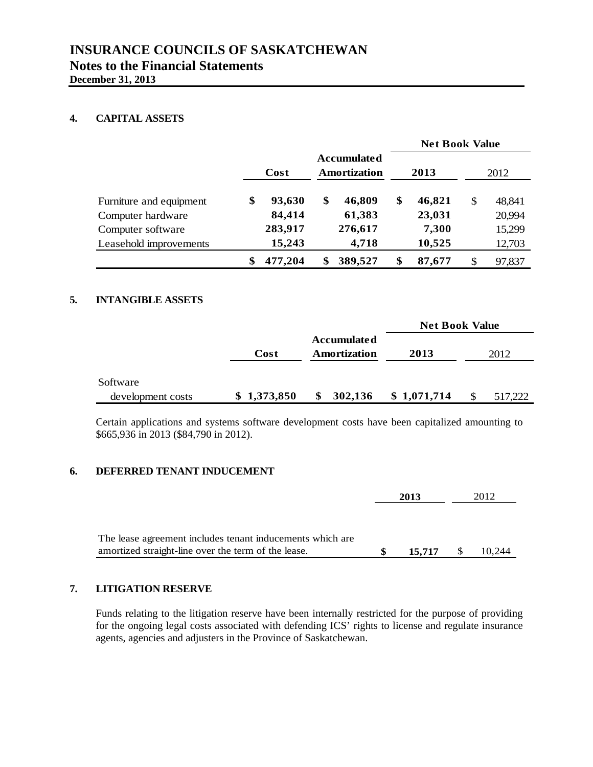# **INSURANCE COUNCILS OF SASKATCHEWAN Notes to the Financial Statements December 31, 2013**

#### **4. CAPITAL ASSETS**

|                         |              |                                    |         |      | <b>Net Book Value</b> |    |        |  |
|-------------------------|--------------|------------------------------------|---------|------|-----------------------|----|--------|--|
|                         | Cost         | <b>Accumulated</b><br>Amortization |         | 2013 |                       |    | 2012   |  |
| Furniture and equipment | \$<br>93,630 | \$                                 | 46,809  | \$   | 46,821                | \$ | 48,841 |  |
| Computer hardware       | 84,414       |                                    | 61,383  |      | 23,031                |    | 20,994 |  |
| Computer software       | 283,917      |                                    | 276,617 |      | 7,300                 |    | 15,299 |  |
| Leasehold improvements  | 15,243       |                                    | 4,718   |      | 10,525                |    | 12,703 |  |
|                         | 477,204      |                                    | 389,527 | \$   | 87,677                |    | 97,837 |  |

#### **5. INTANGIBLE ASSETS**

|                   |             | <b>Net Book Value</b>              |             |     |         |  |
|-------------------|-------------|------------------------------------|-------------|-----|---------|--|
|                   | Cost        | <b>Accumulated</b><br>Amortization | 2013        |     | 2012    |  |
| Software          |             |                                    |             |     |         |  |
| development costs | \$1,373,850 | 302,136<br>\$                      | \$1,071,714 | \$. | 517,222 |  |

Certain applications and systems software development costs have been capitalized amounting to \$665,936 in 2013 (\$84,790 in 2012).

#### **6. DEFERRED TENANT INDUCEMENT**

|                                                           | 2013   |              | 2012   |  |
|-----------------------------------------------------------|--------|--------------|--------|--|
|                                                           |        |              |        |  |
| The lease agreement includes tenant inducements which are |        |              |        |  |
| amortized straight-line over the term of the lease.       | 15,717 | <sup>S</sup> | 10.244 |  |

#### **7. LITIGATION RESERVE**

 Funds relating to the litigation reserve have been internally restricted for the purpose of providing for the ongoing legal costs associated with defending ICS' rights to license and regulate insurance agents, agencies and adjusters in the Province of Saskatchewan.